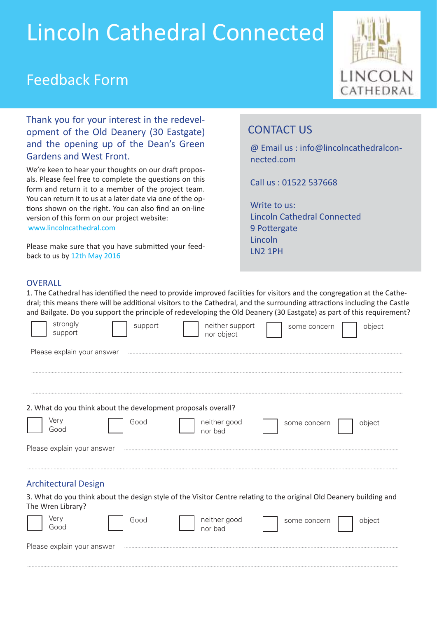# Lincoln Cathedral Connected

### Feedback Form



Thank you for your interest in the redevelopment of the Old Deanery (30 Eastgate) and the opening up of the Dean's Green Gardens and West Front.

We're keen to hear your thoughts on our draft proposals. Please feel free to complete the questions on this form and return it to a member of the project team. You can return it to us at a later date via one of the options shown on the right. You can also find an on-line version of this form on our project website: www.lincolncathedral.com

Please make sure that you have submited your feedback to us by 12th May 2016

### CONTACT US

@ Email us : info@lincolncathedralconnected.com

Call us : 01522 537668

Write to us: Lincoln Cathedral Connected 9 Pottergate Lincoln LN2 1PH

#### **OVERALL**

1. The Cathedral has identified the need to provide improved facilities for visitors and the congregation at the Cathedral; this means there will be addiional visitors to the Cathedral, and the surrounding atracions including the Castle and Bailgate. Do you support the principle of redeveloping the Old Deanery (30 Eastgate) as part of this requirement?

| strongly<br>support         | support                                                       | neither support<br>nor object | some concern                                                                                                        | object |
|-----------------------------|---------------------------------------------------------------|-------------------------------|---------------------------------------------------------------------------------------------------------------------|--------|
| Please explain your answer  |                                                               |                               |                                                                                                                     |        |
|                             |                                                               |                               |                                                                                                                     |        |
|                             | 2. What do you think about the development proposals overall? |                               |                                                                                                                     |        |
| Very<br>Good                | Good                                                          | neither good<br>nor bad       | some concern                                                                                                        | object |
| Please explain your answer  |                                                               |                               |                                                                                                                     |        |
| <b>Architectural Design</b> |                                                               |                               |                                                                                                                     |        |
| The Wren Library?           |                                                               |                               | 3. What do you think about the design style of the Visitor Centre relating to the original Old Deanery building and |        |
| Very<br>Good                | Good                                                          | neither good<br>nor bad       | some concern                                                                                                        | object |
| Please explain your answer  |                                                               |                               |                                                                                                                     |        |
|                             |                                                               |                               |                                                                                                                     |        |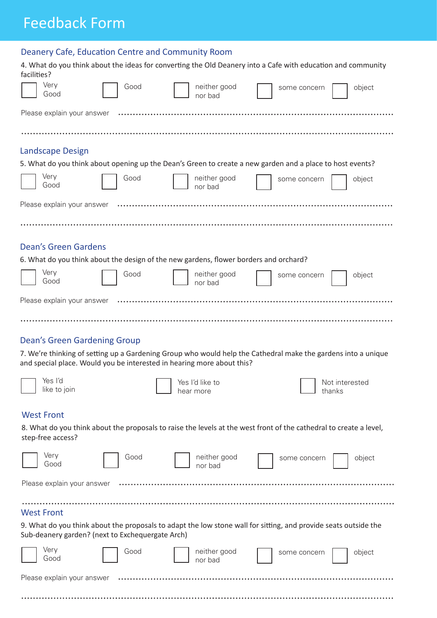# Feedback Form

|                                        |                                     | Deanery Cafe, Education Centre and Community Room                                                                                                                                       |                              |              |                          |        |
|----------------------------------------|-------------------------------------|-----------------------------------------------------------------------------------------------------------------------------------------------------------------------------------------|------------------------------|--------------|--------------------------|--------|
| facilities?                            |                                     | 4. What do you think about the ideas for converting the Old Deanery into a Cafe with education and community                                                                            |                              |              |                          |        |
| Very<br>Good                           |                                     | Good                                                                                                                                                                                    | neither good<br>nor bad      | some concern |                          | object |
|                                        | Please explain your answer          |                                                                                                                                                                                         |                              |              |                          |        |
|                                        |                                     |                                                                                                                                                                                         |                              |              |                          |        |
| <b>Landscape Design</b>                |                                     | 5. What do you think about opening up the Dean's Green to create a new garden and a place to host events?                                                                               |                              |              |                          |        |
| Very<br>Good                           |                                     | Good                                                                                                                                                                                    | neither good<br>nor bad      | some concern |                          | object |
|                                        | Please explain your answer          |                                                                                                                                                                                         |                              |              |                          |        |
|                                        |                                     |                                                                                                                                                                                         |                              |              |                          |        |
| <b>Dean's Green Gardens</b>            |                                     | 6. What do you think about the design of the new gardens, flower borders and orchard?                                                                                                   |                              |              |                          |        |
| Very<br>Good                           |                                     | Good                                                                                                                                                                                    | neither good                 | some concern |                          | object |
| Please explain your answer             |                                     |                                                                                                                                                                                         | nor bad                      |              |                          |        |
|                                        |                                     |                                                                                                                                                                                         |                              |              |                          |        |
|                                        | <b>Dean's Green Gardening Group</b> |                                                                                                                                                                                         |                              |              |                          |        |
|                                        |                                     | 7. We're thinking of setting up a Gardening Group who would help the Cathedral make the gardens into a unique<br>and special place. Would you be interested in hearing more about this? |                              |              |                          |        |
| Yes I'd<br>like to join                |                                     |                                                                                                                                                                                         | Yes I'd like to<br>hear more |              | Not interested<br>thanks |        |
| <b>West Front</b><br>step-free access? |                                     | 8. What do you think about the proposals to raise the levels at the west front of the cathedral to create a level,                                                                      |                              |              |                          |        |
| Very<br>Good                           |                                     | Good                                                                                                                                                                                    | neither good<br>nor bad      | some concern |                          | object |
| Please explain your answer             |                                     |                                                                                                                                                                                         |                              |              |                          |        |
| <b>West Front</b>                      |                                     | 9. What do you think about the proposals to adapt the low stone wall for sitting, and provide seats outside the<br>Sub-deanery garden? (next to Exchequergate Arch)                     |                              |              |                          |        |
| Very<br>Good                           |                                     | Good                                                                                                                                                                                    | neither good<br>nor bad      | some concern |                          | object |
| Please explain your answer             |                                     |                                                                                                                                                                                         |                              |              |                          |        |

. . ..